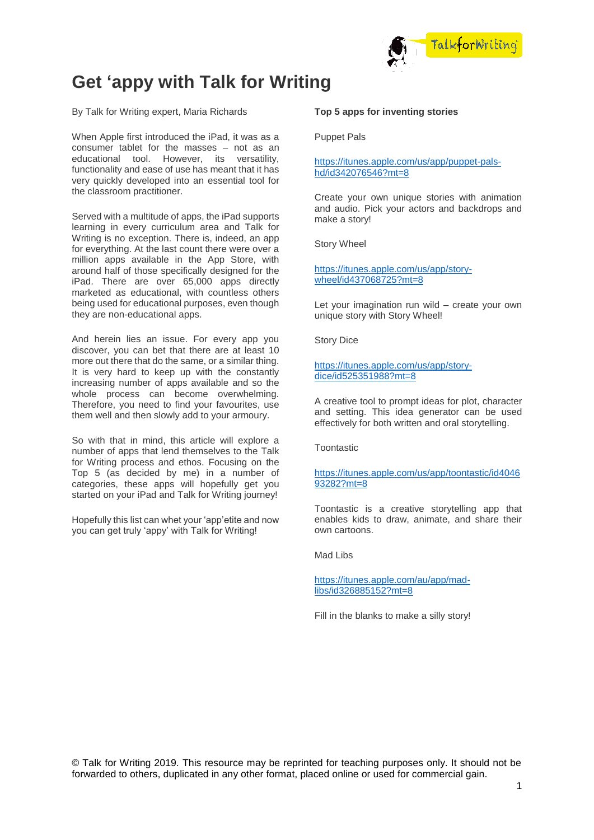

# **Get 'appy with Talk for Writing**

By Talk for Writing expert, Maria Richards

When Apple first introduced the iPad, it was as a consumer tablet for the masses – not as an educational tool. However, its versatility, functionality and ease of use has meant that it has very quickly developed into an essential tool for the classroom practitioner.

Served with a multitude of apps, the iPad supports learning in every curriculum area and Talk for Writing is no exception. There is, indeed, an app for everything. At the last count there were over a million apps available in the App Store, with around half of those specifically designed for the iPad. There are over 65,000 apps directly marketed as educational, with countless others being used for educational purposes, even though they are non-educational apps.

And herein lies an issue. For every app you discover, you can bet that there are at least 10 more out there that do the same, or a similar thing. It is very hard to keep up with the constantly increasing number of apps available and so the whole process can become overwhelming. Therefore, you need to find your favourites, use them well and then slowly add to your armoury.

So with that in mind, this article will explore a number of apps that lend themselves to the Talk for Writing process and ethos. Focusing on the Top 5 (as decided by me) in a number of categories, these apps will hopefully get you started on your iPad and Talk for Writing journey!

Hopefully this list can whet your 'app'etite and now you can get truly 'appy' with Talk for Writing!

#### **Top 5 apps for inventing stories**

Puppet Pals

[https://itunes.apple.com/us/app/puppet-pals](https://itunes.apple.com/us/app/puppet-pals-hd/id342076546?mt=8)[hd/id342076546?mt=8](https://itunes.apple.com/us/app/puppet-pals-hd/id342076546?mt=8)

Create your own unique stories with animation and audio. Pick your actors and backdrops and make a story!

Story Wheel

[https://itunes.apple.com/us/app/story](https://itunes.apple.com/us/app/story-wheel/id437068725?mt=8)[wheel/id437068725?mt=8](https://itunes.apple.com/us/app/story-wheel/id437068725?mt=8)

Let your imagination run wild – create your own unique story with Story Wheel!

Story Dice

[https://itunes.apple.com/us/app/story](https://itunes.apple.com/us/app/story-dice/id525351988?mt=8)[dice/id525351988?mt=8](https://itunes.apple.com/us/app/story-dice/id525351988?mt=8)

A creative tool to prompt ideas for plot, character and setting. This idea generator can be used effectively for both written and oral storytelling.

**Toontastic** 

[https://itunes.apple.com/us/app/toontastic/id4046](https://itunes.apple.com/us/app/toontastic/id404693282?mt=8) [93282?mt=8](https://itunes.apple.com/us/app/toontastic/id404693282?mt=8)

Toontastic is a creative storytelling app that enables kids to draw, animate, and share their own cartoons.

Mad Libs

[https://itunes.apple.com/au/app/mad](https://itunes.apple.com/au/app/mad-libs/id326885152?mt=8)[libs/id326885152?mt=8](https://itunes.apple.com/au/app/mad-libs/id326885152?mt=8)

Fill in the blanks to make a silly story!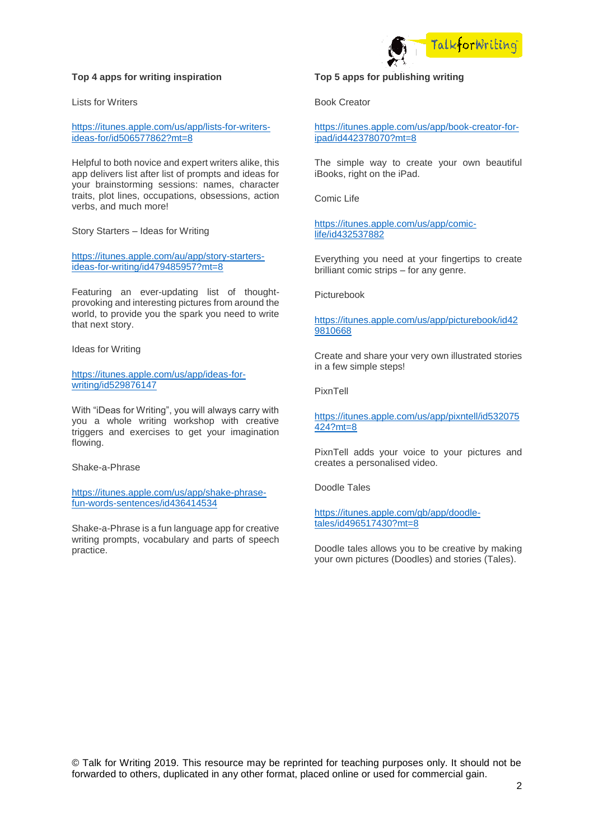### **Top 4 apps for writing inspiration**

Lists for Writers

[https://itunes.apple.com/us/app/lists-for-writers](https://itunes.apple.com/us/app/lists-for-writers-ideas-for/id506577862?mt=8)[ideas-for/id506577862?mt=8](https://itunes.apple.com/us/app/lists-for-writers-ideas-for/id506577862?mt=8)

Helpful to both novice and expert writers alike, this app delivers list after list of prompts and ideas for your brainstorming sessions: names, character traits, plot lines, occupations, obsessions, action verbs, and much more!

Story Starters – Ideas for Writing

[https://itunes.apple.com/au/app/story-starters](https://itunes.apple.com/au/app/story-starters-ideas-for-writing/id479485957?mt=8)[ideas-for-writing/id479485957?mt=8](https://itunes.apple.com/au/app/story-starters-ideas-for-writing/id479485957?mt=8)

Featuring an ever-updating list of thoughtprovoking and interesting pictures from around the world, to provide you the spark you need to write that next story.

Ideas for Writing

[https://itunes.apple.com/us/app/ideas-for](https://itunes.apple.com/us/app/ideas-for-writing/id529876147)[writing/id529876147](https://itunes.apple.com/us/app/ideas-for-writing/id529876147)

With "iDeas for Writing", you will always carry with you a whole writing workshop with creative triggers and exercises to get your imagination flowing.

Shake-a-Phrase

[https://itunes.apple.com/us/app/shake-phrase](https://itunes.apple.com/us/app/shake-phrase-fun-words-sentences/id436414534)[fun-words-sentences/id436414534](https://itunes.apple.com/us/app/shake-phrase-fun-words-sentences/id436414534)

Shake-a-Phrase is a fun language app for creative writing prompts, vocabulary and parts of speech practice.



## **Top 5 apps for publishing writing**

Book Creator

[https://itunes.apple.com/us/app/book-creator-for](https://itunes.apple.com/us/app/book-creator-for-ipad/id442378070?mt=8)[ipad/id442378070?mt=8](https://itunes.apple.com/us/app/book-creator-for-ipad/id442378070?mt=8)

The simple way to create your own beautiful iBooks, right on the iPad.

Comic Life

[https://itunes.apple.com/us/app/comic](https://itunes.apple.com/us/app/comic-life/id432537882)[life/id432537882](https://itunes.apple.com/us/app/comic-life/id432537882)

Everything you need at your fingertips to create brilliant comic strips – for any genre.

Picturebook

[https://itunes.apple.com/us/app/picturebook/id42](https://itunes.apple.com/us/app/picturebook/id429810668) [9810668](https://itunes.apple.com/us/app/picturebook/id429810668)

Create and share your very own illustrated stories in a few simple steps!

PixnTell

[https://itunes.apple.com/us/app/pixntell/id532075](https://itunes.apple.com/us/app/pixntell/id532075424?mt=8) [424?mt=8](https://itunes.apple.com/us/app/pixntell/id532075424?mt=8)

PixnTell adds your voice to your pictures and creates a personalised video.

Doodle Tales

[https://itunes.apple.com/gb/app/doodle](https://itunes.apple.com/gb/app/doodle-tales/id496517430?mt=8)[tales/id496517430?mt=8](https://itunes.apple.com/gb/app/doodle-tales/id496517430?mt=8)

Doodle tales allows you to be creative by making your own pictures (Doodles) and stories (Tales).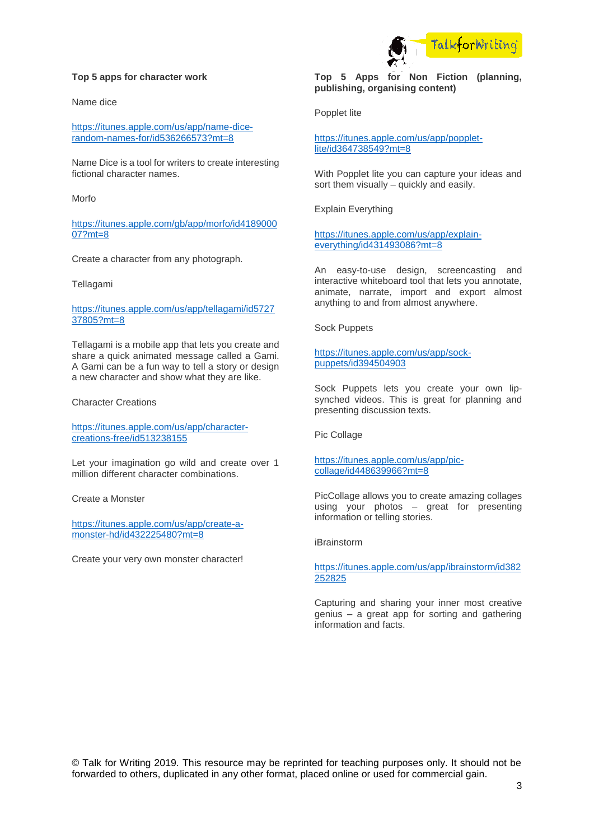#### **Top 5 apps for character work**

Name dice

[https://itunes.apple.com/us/app/name-dice](https://itunes.apple.com/us/app/name-dice-random-names-for/id536266573?mt=8)[random-names-for/id536266573?mt=8](https://itunes.apple.com/us/app/name-dice-random-names-for/id536266573?mt=8)

Name Dice is a tool for writers to create interesting fictional character names.

Morfo

[https://itunes.apple.com/gb/app/morfo/id4189000](https://itunes.apple.com/gb/app/morfo/id418900007?mt=8) [07?mt=8](https://itunes.apple.com/gb/app/morfo/id418900007?mt=8)

Create a character from any photograph.

Tellagami

[https://itunes.apple.com/us/app/tellagami/id5727](https://itunes.apple.com/us/app/tellagami/id572737805?mt=8) [37805?mt=8](https://itunes.apple.com/us/app/tellagami/id572737805?mt=8)

Tellagami is a mobile app that lets you create and share a quick animated message called a Gami. A Gami can be a fun way to tell a story or design a new character and show what they are like.

Character Creations

[https://itunes.apple.com/us/app/character](https://itunes.apple.com/us/app/character-creations-free/id513238155)[creations-free/id513238155](https://itunes.apple.com/us/app/character-creations-free/id513238155)

Let your imagination go wild and create over 1 million different character combinations.

Create a Monster

[https://itunes.apple.com/us/app/create-a](https://itunes.apple.com/us/app/create-a-monster-hd/id432225480?mt=8)[monster-hd/id432225480?mt=8](https://itunes.apple.com/us/app/create-a-monster-hd/id432225480?mt=8)

Create your very own monster character!

# **Top 5 Apps for Non Fiction (planning, publishing, organising content)**

TalkforWritin

Popplet lite

[https://itunes.apple.com/us/app/popplet](https://itunes.apple.com/us/app/popplet-lite/id364738549?mt=8)[lite/id364738549?mt=8](https://itunes.apple.com/us/app/popplet-lite/id364738549?mt=8)

With Popplet lite you can capture your ideas and sort them visually – quickly and easily.

Explain Everything

[https://itunes.apple.com/us/app/explain](https://itunes.apple.com/us/app/explain-everything/id431493086?mt=8)[everything/id431493086?mt=8](https://itunes.apple.com/us/app/explain-everything/id431493086?mt=8)

An easy-to-use design, screencasting and interactive whiteboard tool that lets you annotate, animate, narrate, import and export almost anything to and from almost anywhere.

Sock Puppets

#### [https://itunes.apple.com/us/app/sock](https://itunes.apple.com/us/app/sock-puppets/id394504903)[puppets/id394504903](https://itunes.apple.com/us/app/sock-puppets/id394504903)

Sock Puppets lets you create your own lipsynched videos. This is great for planning and presenting discussion texts.

Pic Collage

[https://itunes.apple.com/us/app/pic](https://itunes.apple.com/us/app/pic-collage/id448639966?mt=8)[collage/id448639966?mt=8](https://itunes.apple.com/us/app/pic-collage/id448639966?mt=8)

PicCollage allows you to create amazing collages using your photos – great for presenting information or telling stories.

iBrainstorm

[https://itunes.apple.com/us/app/ibrainstorm/id382](https://itunes.apple.com/us/app/ibrainstorm/id382252825) [252825](https://itunes.apple.com/us/app/ibrainstorm/id382252825)

Capturing and sharing your inner most creative genius – a great app for sorting and gathering information and facts.